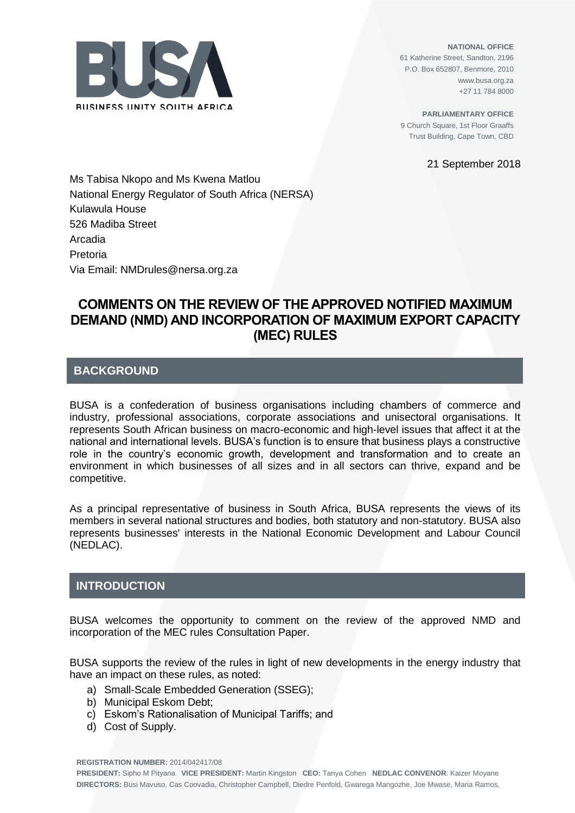

**NATIONAL OFFICE** 61 Katherine Street, Sandton, 2196 P.O. Box 652807, Benmore, 2010 www.busa.org.za +27 11 784 8000

**PARLIAMENTARY OFFICE** 9 Church Square, 1st Floor Graaffs Trust Building, Cape Town, CBD

21 September 2018

Ms Tabisa Nkopo and Ms Kwena Matlou National Energy Regulator of South Africa (NERSA) Kulawula House 526 Madiba Street Arcadia Pretoria Via Email: NMDrules@nersa.org.za

# **COMMENTS ON THE REVIEW OF THE APPROVED NOTIFIED MAXIMUM DEMAND (NMD) AND INCORPORATION OF MAXIMUM EXPORT CAPACITY (MEC) RULES**

## **BACKGROUND**

BUSA is a confederation of business organisations including chambers of commerce and industry, professional associations, corporate associations and unisectoral organisations. It represents South African business on macro-economic and high-level issues that affect it at the national and international levels. BUSA's function is to ensure that business plays a constructive role in the country's economic growth, development and transformation and to create an environment in which businesses of all sizes and in all sectors can thrive, expand and be competitive.

As a principal representative of business in South Africa, BUSA represents the views of its members in several national structures and bodies, both statutory and non-statutory. BUSA also represents businesses' interests in the National Economic Development and Labour Council (NEDLAC).

## **INTRODUCTION**

BUSA welcomes the opportunity to comment on the review of the approved NMD and incorporation of the MEC rules Consultation Paper.

BUSA supports the review of the rules in light of new developments in the energy industry that have an impact on these rules, as noted:

- a) Small-Scale Embedded Generation (SSEG);
- b) Municipal Eskom Debt;
- c) Eskom's Rationalisation of Municipal Tariffs; and
- d) Cost of Supply.

**REGISTRATION NUMBER:** 2014/042417/08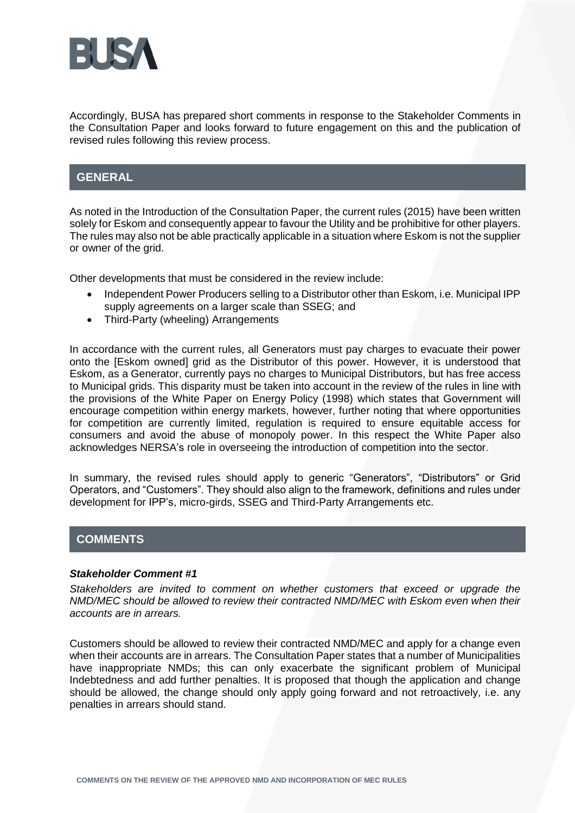

Accordingly, BUSA has prepared short comments in response to the Stakeholder Comments in the Consultation Paper and looks forward to future engagement on this and the publication of revised rules following this review process.

## **GENERAL**

As noted in the Introduction of the Consultation Paper, the current rules (2015) have been written solely for Eskom and consequently appear to favour the Utility and be prohibitive for other players. The rules may also not be able practically applicable in a situation where Eskom is not the supplier or owner of the grid.

Other developments that must be considered in the review include:

- Independent Power Producers selling to a Distributor other than Eskom, i.e. Municipal IPP supply agreements on a larger scale than SSEG; and
- Third-Party (wheeling) Arrangements

In accordance with the current rules, all Generators must pay charges to evacuate their power onto the [Eskom owned] grid as the Distributor of this power. However, it is understood that Eskom, as a Generator, currently pays no charges to Municipal Distributors, but has free access to Municipal grids. This disparity must be taken into account in the review of the rules in line with the provisions of the White Paper on Energy Policy (1998) which states that Government will encourage competition within energy markets, however, further noting that where opportunities for competition are currently limited, regulation is required to ensure equitable access for consumers and avoid the abuse of monopoly power. In this respect the White Paper also acknowledges NERSA's role in overseeing the introduction of competition into the sector.

In summary, the revised rules should apply to generic "Generators", "Distributors" or Grid Operators, and "Customers". They should also align to the framework, definitions and rules under development for IPP's, micro-girds, SSEG and Third-Party Arrangements etc.

## **COMMENTS**

### *Stakeholder Comment #1*

*Stakeholders are invited to comment on whether customers that exceed or upgrade the NMD/MEC should be allowed to review their contracted NMD/MEC with Eskom even when their accounts are in arrears.*

Customers should be allowed to review their contracted NMD/MEC and apply for a change even when their accounts are in arrears. The Consultation Paper states that a number of Municipalities have inappropriate NMDs; this can only exacerbate the significant problem of Municipal Indebtedness and add further penalties. It is proposed that though the application and change should be allowed, the change should only apply going forward and not retroactively, i.e. any penalties in arrears should stand.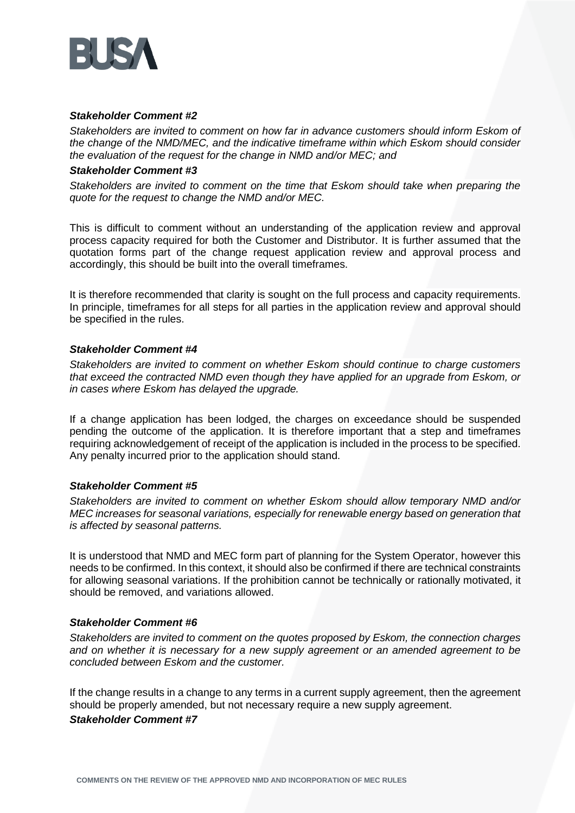

### *Stakeholder Comment #2*

*Stakeholders are invited to comment on how far in advance customers should inform Eskom of the change of the NMD/MEC, and the indicative timeframe within which Eskom should consider the evaluation of the request for the change in NMD and/or MEC; and*

#### *Stakeholder Comment #3*

*Stakeholders are invited to comment on the time that Eskom should take when preparing the quote for the request to change the NMD and/or MEC.*

This is difficult to comment without an understanding of the application review and approval process capacity required for both the Customer and Distributor. It is further assumed that the quotation forms part of the change request application review and approval process and accordingly, this should be built into the overall timeframes.

It is therefore recommended that clarity is sought on the full process and capacity requirements. In principle, timeframes for all steps for all parties in the application review and approval should be specified in the rules.

### *Stakeholder Comment #4*

*Stakeholders are invited to comment on whether Eskom should continue to charge customers that exceed the contracted NMD even though they have applied for an upgrade from Eskom, or in cases where Eskom has delayed the upgrade.*

If a change application has been lodged, the charges on exceedance should be suspended pending the outcome of the application. It is therefore important that a step and timeframes requiring acknowledgement of receipt of the application is included in the process to be specified. Any penalty incurred prior to the application should stand.

#### *Stakeholder Comment #5*

*Stakeholders are invited to comment on whether Eskom should allow temporary NMD and/or MEC increases for seasonal variations, especially for renewable energy based on generation that is affected by seasonal patterns.*

It is understood that NMD and MEC form part of planning for the System Operator, however this needs to be confirmed. In this context, it should also be confirmed if there are technical constraints for allowing seasonal variations. If the prohibition cannot be technically or rationally motivated, it should be removed, and variations allowed.

#### *Stakeholder Comment #6*

*Stakeholders are invited to comment on the quotes proposed by Eskom, the connection charges and on whether it is necessary for a new supply agreement or an amended agreement to be concluded between Eskom and the customer.*

If the change results in a change to any terms in a current supply agreement, then the agreement should be properly amended, but not necessary require a new supply agreement. *Stakeholder Comment #7*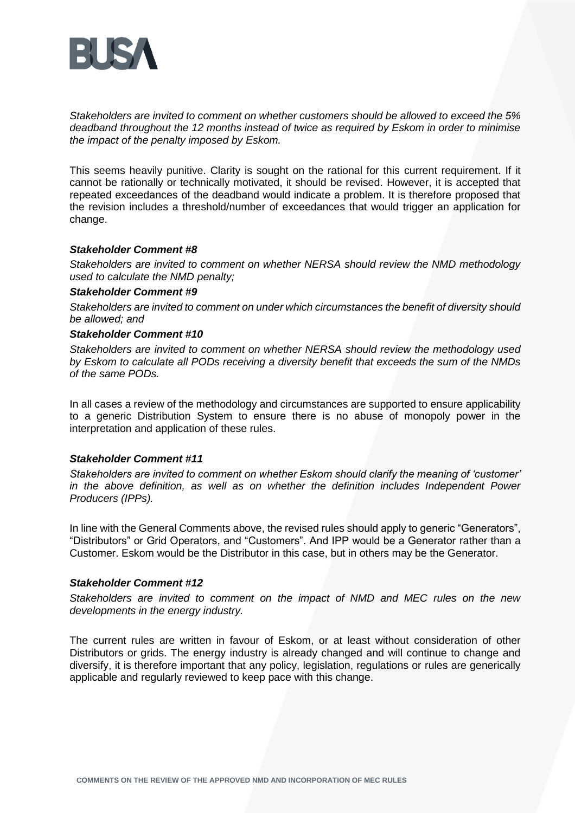

*Stakeholders are invited to comment on whether customers should be allowed to exceed the 5% deadband throughout the 12 months instead of twice as required by Eskom in order to minimise the impact of the penalty imposed by Eskom.*

This seems heavily punitive. Clarity is sought on the rational for this current requirement. If it cannot be rationally or technically motivated, it should be revised. However, it is accepted that repeated exceedances of the deadband would indicate a problem. It is therefore proposed that the revision includes a threshold/number of exceedances that would trigger an application for change.

#### *Stakeholder Comment #8*

*Stakeholders are invited to comment on whether NERSA should review the NMD methodology used to calculate the NMD penalty;*

### *Stakeholder Comment #9*

*Stakeholders are invited to comment on under which circumstances the benefit of diversity should be allowed; and*

### *Stakeholder Comment #10*

*Stakeholders are invited to comment on whether NERSA should review the methodology used by Eskom to calculate all PODs receiving a diversity benefit that exceeds the sum of the NMDs of the same PODs.*

In all cases a review of the methodology and circumstances are supported to ensure applicability to a generic Distribution System to ensure there is no abuse of monopoly power in the interpretation and application of these rules.

#### *Stakeholder Comment #11*

*Stakeholders are invited to comment on whether Eskom should clarify the meaning of 'customer' in the above definition, as well as on whether the definition includes Independent Power Producers (IPPs).*

In line with the General Comments above, the revised rules should apply to generic "Generators", "Distributors" or Grid Operators, and "Customers". And IPP would be a Generator rather than a Customer. Eskom would be the Distributor in this case, but in others may be the Generator.

#### *Stakeholder Comment #12*

*Stakeholders are invited to comment on the impact of NMD and MEC rules on the new developments in the energy industry.*

The current rules are written in favour of Eskom, or at least without consideration of other Distributors or grids. The energy industry is already changed and will continue to change and diversify, it is therefore important that any policy, legislation, regulations or rules are generically applicable and regularly reviewed to keep pace with this change.